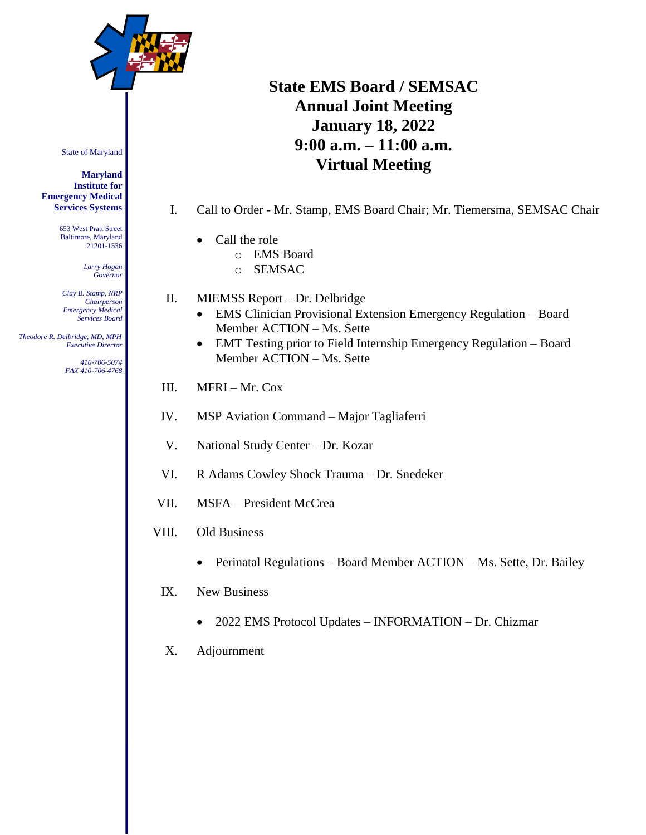

# **State EMS Board / SEMSAC Annual Joint Meeting January 18, 2022 9:00 a.m. – 11:00 a.m. Virtual Meeting**

- I. Call to Order Mr. Stamp, EMS Board Chair; Mr. Tiemersma, SEMSAC Chair
	- Call the role
		- o EMS Board
		- o SEMSAC
- II. MIEMSS Report Dr. Delbridge
	- EMS Clinician Provisional Extension Emergency Regulation Board Member ACTION – Ms. Sette
	- EMT Testing prior to Field Internship Emergency Regulation Board Member ACTION – Ms. Sette
- III.  $MFRI Mr. Cox$
- IV. MSP Aviation Command Major Tagliaferri
- V. National Study Center Dr. Kozar
- VI. R Adams Cowley Shock Trauma Dr. Snedeker
- VII. MSFA President McCrea
- VIII. Old Business
	- Perinatal Regulations Board Member ACTION Ms. Sette, Dr. Bailey
	- IX. New Business
		- 2022 EMS Protocol Updates INFORMATION Dr. Chizmar
	- X. Adjournment

State of Maryland

#### **Maryland Institute for Emergency Medical Services Systems**

653 West Pratt Street Baltimore, Maryland 21201-1536

> *Larry Hogan Governor*

*Clay B. Stamp, NRP Chairperson Emergency Medical Services Board*

 *Theodore R. Delbridge, MD, MPH Executive Director*

> *410-706-5074 FAX 410-706-4768*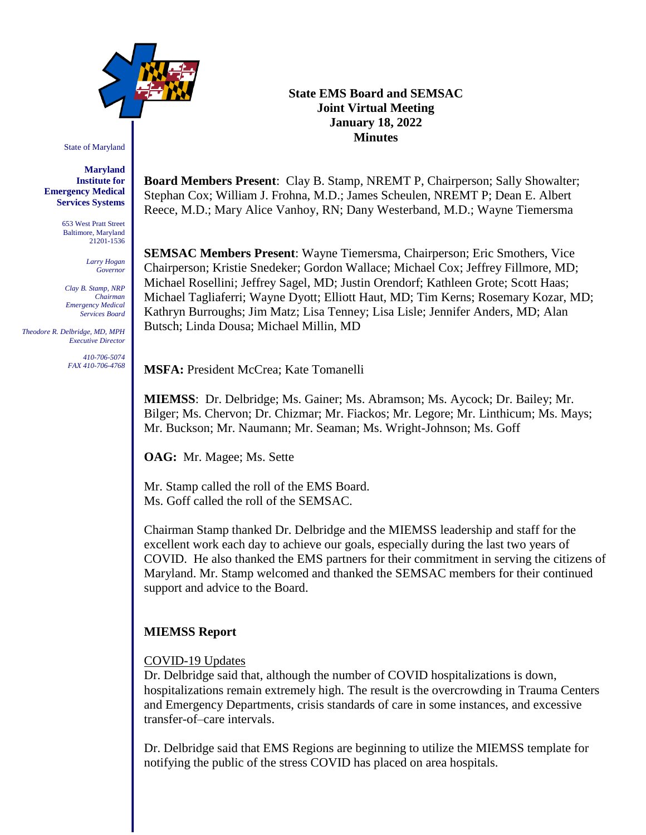

State of Maryland

**Maryland Institute for Emergency Medical Services Systems**

> 653 West Pratt Street Baltimore, Maryland 21201-1536

> > *Larry Hogan Governor*

*Clay B. Stamp, NRP Chairman Emergency Medical Services Board*

 *Theodore R. Delbridge, MD, MPH Executive Director*

> *410-706-5074 FAX 410-706-4768*

#### **State EMS Board and SEMSAC Joint Virtual Meeting January 18, 2022 Minutes**

**Board Members Present**: Clay B. Stamp, NREMT P, Chairperson; Sally Showalter; Stephan Cox; William J. Frohna, M.D.; James Scheulen, NREMT P; Dean E. Albert Reece, M.D.; Mary Alice Vanhoy, RN; Dany Westerband, M.D.; Wayne Tiemersma

**SEMSAC Members Present**: Wayne Tiemersma, Chairperson; Eric Smothers, Vice Chairperson; Kristie Snedeker; Gordon Wallace; Michael Cox; Jeffrey Fillmore, MD; Michael Rosellini; Jeffrey Sagel, MD; Justin Orendorf; Kathleen Grote; Scott Haas; Michael Tagliaferri; Wayne Dyott; Elliott Haut, MD; Tim Kerns; Rosemary Kozar, MD; Kathryn Burroughs; Jim Matz; Lisa Tenney; Lisa Lisle; Jennifer Anders, MD; Alan Butsch; Linda Dousa; Michael Millin, MD

**MSFA:** President McCrea; Kate Tomanelli

**MIEMSS**: Dr. Delbridge; Ms. Gainer; Ms. Abramson; Ms. Aycock; Dr. Bailey; Mr. Bilger; Ms. Chervon; Dr. Chizmar; Mr. Fiackos; Mr. Legore; Mr. Linthicum; Ms. Mays; Mr. Buckson; Mr. Naumann; Mr. Seaman; Ms. Wright-Johnson; Ms. Goff

**OAG:** Mr. Magee; Ms. Sette

Mr. Stamp called the roll of the EMS Board. Ms. Goff called the roll of the SEMSAC.

Chairman Stamp thanked Dr. Delbridge and the MIEMSS leadership and staff for the excellent work each day to achieve our goals, especially during the last two years of COVID. He also thanked the EMS partners for their commitment in serving the citizens of Maryland. Mr. Stamp welcomed and thanked the SEMSAC members for their continued support and advice to the Board.

# **MIEMSS Report**

COVID-19 Updates

Dr. Delbridge said that, although the number of COVID hospitalizations is down, hospitalizations remain extremely high. The result is the overcrowding in Trauma Centers and Emergency Departments, crisis standards of care in some instances, and excessive transfer-of–care intervals.

Dr. Delbridge said that EMS Regions are beginning to utilize the MIEMSS template for notifying the public of the stress COVID has placed on area hospitals.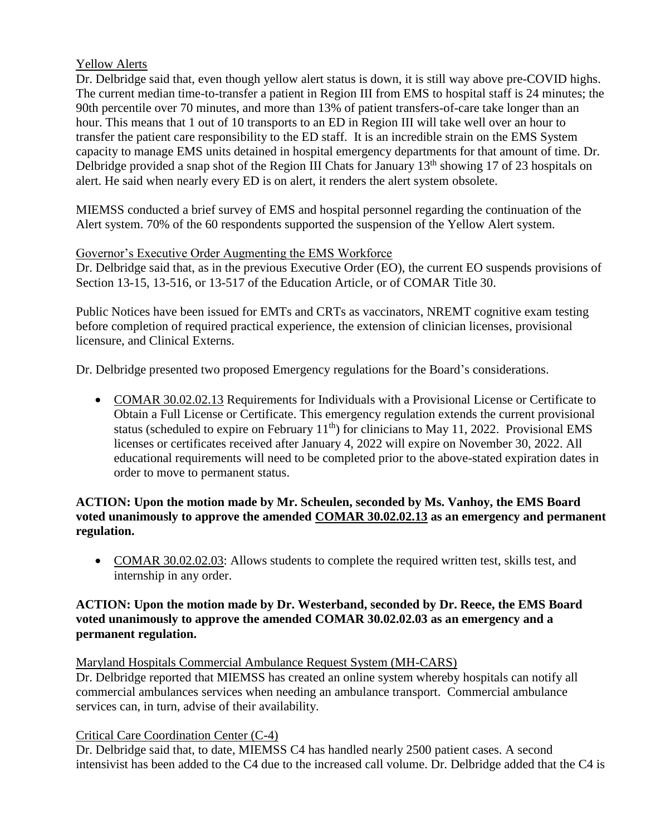# Yellow Alerts

Dr. Delbridge said that, even though yellow alert status is down, it is still way above pre-COVID highs. The current median time-to-transfer a patient in Region III from EMS to hospital staff is 24 minutes; the 90th percentile over 70 minutes, and more than 13% of patient transfers-of-care take longer than an hour. This means that 1 out of 10 transports to an ED in Region III will take well over an hour to transfer the patient care responsibility to the ED staff. It is an incredible strain on the EMS System capacity to manage EMS units detained in hospital emergency departments for that amount of time. Dr. Delbridge provided a snap shot of the Region III Chats for January  $13<sup>th</sup>$  showing 17 of 23 hospitals on alert. He said when nearly every ED is on alert, it renders the alert system obsolete.

MIEMSS conducted a brief survey of EMS and hospital personnel regarding the continuation of the Alert system. 70% of the 60 respondents supported the suspension of the Yellow Alert system.

#### Governor's Executive Order Augmenting the EMS Workforce

Dr. Delbridge said that, as in the previous Executive Order (EO), the current EO suspends provisions of Section 13-15, 13-516, or 13-517 of the Education Article, or of COMAR Title 30.

Public Notices have been issued for EMTs and CRTs as vaccinators, NREMT cognitive exam testing before completion of required practical experience, the extension of clinician licenses, provisional licensure, and Clinical Externs.

Dr. Delbridge presented two proposed Emergency regulations for the Board's considerations.

 COMAR 30.02.02.13 Requirements for Individuals with a Provisional License or Certificate to Obtain a Full License or Certificate. This emergency regulation extends the current provisional status (scheduled to expire on February  $11<sup>th</sup>$ ) for clinicians to May 11, 2022. Provisional EMS licenses or certificates received after January 4, 2022 will expire on November 30, 2022. All educational requirements will need to be completed prior to the above-stated expiration dates in order to move to permanent status.

#### **ACTION: Upon the motion made by Mr. Scheulen, seconded by Ms. Vanhoy, the EMS Board voted unanimously to approve the amended COMAR 30.02.02.13 as an emergency and permanent regulation.**

• COMAR 30.02.02.03: Allows students to complete the required written test, skills test, and internship in any order.

#### **ACTION: Upon the motion made by Dr. Westerband, seconded by Dr. Reece, the EMS Board voted unanimously to approve the amended COMAR 30.02.02.03 as an emergency and a permanent regulation.**

#### Maryland Hospitals Commercial Ambulance Request System (MH-CARS)

Dr. Delbridge reported that MIEMSS has created an online system whereby hospitals can notify all commercial ambulances services when needing an ambulance transport. Commercial ambulance services can, in turn, advise of their availability.

# Critical Care Coordination Center (C-4)

Dr. Delbridge said that, to date, MIEMSS C4 has handled nearly 2500 patient cases. A second intensivist has been added to the C4 due to the increased call volume. Dr. Delbridge added that the C4 is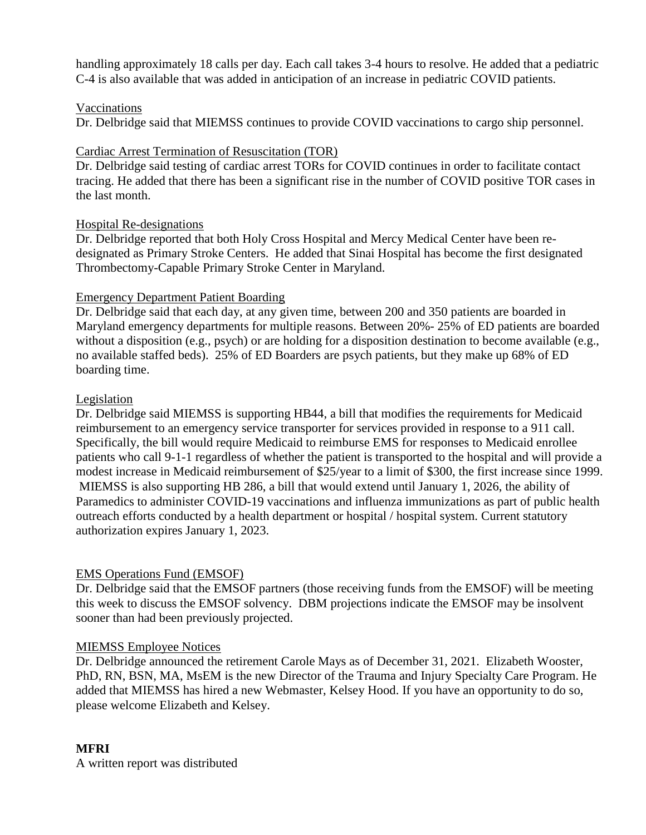handling approximately 18 calls per day. Each call takes 3-4 hours to resolve. He added that a pediatric C-4 is also available that was added in anticipation of an increase in pediatric COVID patients.

#### Vaccinations

Dr. Delbridge said that MIEMSS continues to provide COVID vaccinations to cargo ship personnel.

#### Cardiac Arrest Termination of Resuscitation (TOR)

Dr. Delbridge said testing of cardiac arrest TORs for COVID continues in order to facilitate contact tracing. He added that there has been a significant rise in the number of COVID positive TOR cases in the last month.

#### Hospital Re-designations

Dr. Delbridge reported that both Holy Cross Hospital and Mercy Medical Center have been redesignated as Primary Stroke Centers. He added that Sinai Hospital has become the first designated Thrombectomy-Capable Primary Stroke Center in Maryland.

# Emergency Department Patient Boarding

Dr. Delbridge said that each day, at any given time, between 200 and 350 patients are boarded in Maryland emergency departments for multiple reasons. Between 20%- 25% of ED patients are boarded without a disposition (e.g., psych) or are holding for a disposition destination to become available (e.g., no available staffed beds). 25% of ED Boarders are psych patients, but they make up 68% of ED boarding time.

#### **Legislation**

Dr. Delbridge said MIEMSS is supporting HB44, a bill that modifies the requirements for Medicaid reimbursement to an emergency service transporter for services provided in response to a 911 call. Specifically, the bill would require Medicaid to reimburse EMS for responses to Medicaid enrollee patients who call 9-1-1 regardless of whether the patient is transported to the hospital and will provide a modest increase in Medicaid reimbursement of \$25/year to a limit of \$300, the first increase since 1999. MIEMSS is also supporting HB 286, a bill that would extend until January 1, 2026, the ability of Paramedics to administer COVID-19 vaccinations and influenza immunizations as part of public health outreach efforts conducted by a health department or hospital / hospital system. Current statutory authorization expires January 1, 2023.

# EMS Operations Fund (EMSOF)

Dr. Delbridge said that the EMSOF partners (those receiving funds from the EMSOF) will be meeting this week to discuss the EMSOF solvency. DBM projections indicate the EMSOF may be insolvent sooner than had been previously projected.

#### MIEMSS Employee Notices

Dr. Delbridge announced the retirement Carole Mays as of December 31, 2021. Elizabeth Wooster, PhD, RN, BSN, MA, MsEM is the new Director of the Trauma and Injury Specialty Care Program. He added that MIEMSS has hired a new Webmaster, Kelsey Hood. If you have an opportunity to do so, please welcome Elizabeth and Kelsey.

# **MFRI**

A written report was distributed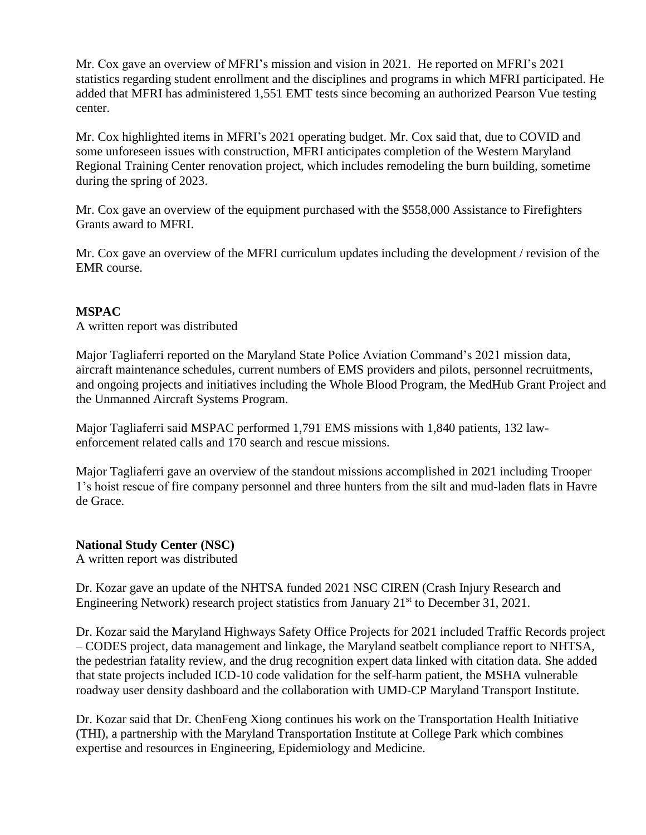Mr. Cox gave an overview of MFRI's mission and vision in 2021. He reported on MFRI's 2021 statistics regarding student enrollment and the disciplines and programs in which MFRI participated. He added that MFRI has administered 1,551 EMT tests since becoming an authorized Pearson Vue testing center.

Mr. Cox highlighted items in MFRI's 2021 operating budget. Mr. Cox said that, due to COVID and some unforeseen issues with construction, MFRI anticipates completion of the Western Maryland Regional Training Center renovation project, which includes remodeling the burn building, sometime during the spring of 2023.

Mr. Cox gave an overview of the equipment purchased with the \$558,000 Assistance to Firefighters Grants award to MFRI.

Mr. Cox gave an overview of the MFRI curriculum updates including the development / revision of the EMR course.

# **MSPAC**

A written report was distributed

Major Tagliaferri reported on the Maryland State Police Aviation Command's 2021 mission data, aircraft maintenance schedules, current numbers of EMS providers and pilots, personnel recruitments, and ongoing projects and initiatives including the Whole Blood Program, the MedHub Grant Project and the Unmanned Aircraft Systems Program.

Major Tagliaferri said MSPAC performed 1,791 EMS missions with 1,840 patients, 132 lawenforcement related calls and 170 search and rescue missions.

Major Tagliaferri gave an overview of the standout missions accomplished in 2021 including Trooper 1's hoist rescue of fire company personnel and three hunters from the silt and mud-laden flats in Havre de Grace.

# **National Study Center (NSC)**

A written report was distributed

Dr. Kozar gave an update of the NHTSA funded 2021 NSC CIREN (Crash Injury Research and Engineering Network) research project statistics from January  $21<sup>st</sup>$  to December 31, 2021.

Dr. Kozar said the Maryland Highways Safety Office Projects for 2021 included Traffic Records project – CODES project, data management and linkage, the Maryland seatbelt compliance report to NHTSA, the pedestrian fatality review, and the drug recognition expert data linked with citation data. She added that state projects included ICD-10 code validation for the self-harm patient, the MSHA vulnerable roadway user density dashboard and the collaboration with UMD-CP Maryland Transport Institute.

Dr. Kozar said that Dr. ChenFeng Xiong continues his work on the Transportation Health Initiative (THI), a partnership with the Maryland Transportation Institute at College Park which combines expertise and resources in Engineering, Epidemiology and Medicine.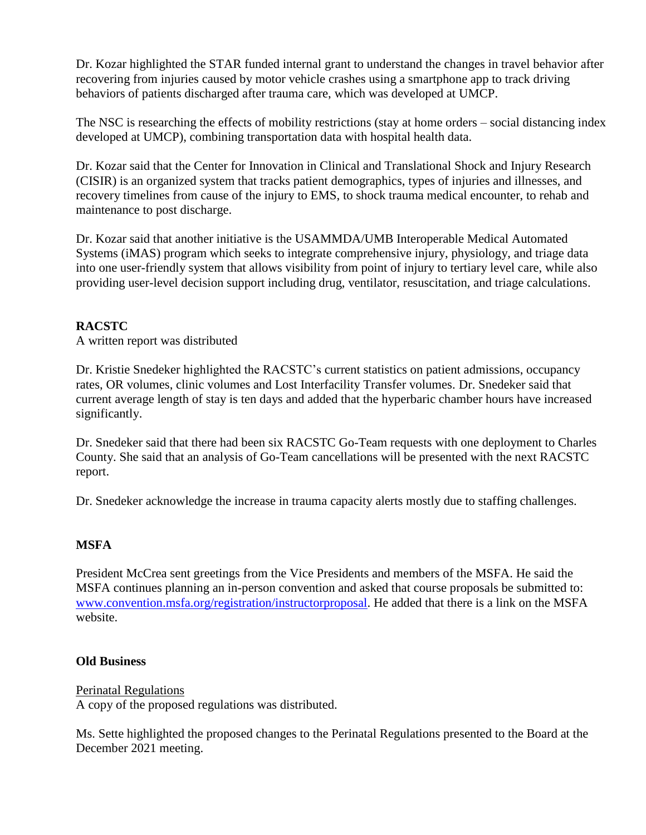Dr. Kozar highlighted the STAR funded internal grant to understand the changes in travel behavior after recovering from injuries caused by motor vehicle crashes using a smartphone app to track driving behaviors of patients discharged after trauma care, which was developed at UMCP.

The NSC is researching the effects of mobility restrictions (stay at home orders – social distancing index developed at UMCP), combining transportation data with hospital health data.

Dr. Kozar said that the Center for Innovation in Clinical and Translational Shock and Injury Research (CISIR) is an organized system that tracks patient demographics, types of injuries and illnesses, and recovery timelines from cause of the injury to EMS, to shock trauma medical encounter, to rehab and maintenance to post discharge.

Dr. Kozar said that another initiative is the USAMMDA/UMB Interoperable Medical Automated Systems (iMAS) program which seeks to integrate comprehensive injury, physiology, and triage data into one user-friendly system that allows visibility from point of injury to tertiary level care, while also providing user-level decision support including drug, ventilator, resuscitation, and triage calculations.

# **RACSTC**

A written report was distributed

Dr. Kristie Snedeker highlighted the RACSTC's current statistics on patient admissions, occupancy rates, OR volumes, clinic volumes and Lost Interfacility Transfer volumes. Dr. Snedeker said that current average length of stay is ten days and added that the hyperbaric chamber hours have increased significantly.

Dr. Snedeker said that there had been six RACSTC Go-Team requests with one deployment to Charles County. She said that an analysis of Go-Team cancellations will be presented with the next RACSTC report.

Dr. Snedeker acknowledge the increase in trauma capacity alerts mostly due to staffing challenges.

# **MSFA**

President McCrea sent greetings from the Vice Presidents and members of the MSFA. He said the MSFA continues planning an in-person convention and asked that course proposals be submitted to: [www.convention.msfa.org/registration/instructorproposal.](http://www.convention.msfa.org/registration/instructorproposal) He added that there is a link on the MSFA website.

# **Old Business**

# Perinatal Regulations

A copy of the proposed regulations was distributed.

Ms. Sette highlighted the proposed changes to the Perinatal Regulations presented to the Board at the December 2021 meeting.